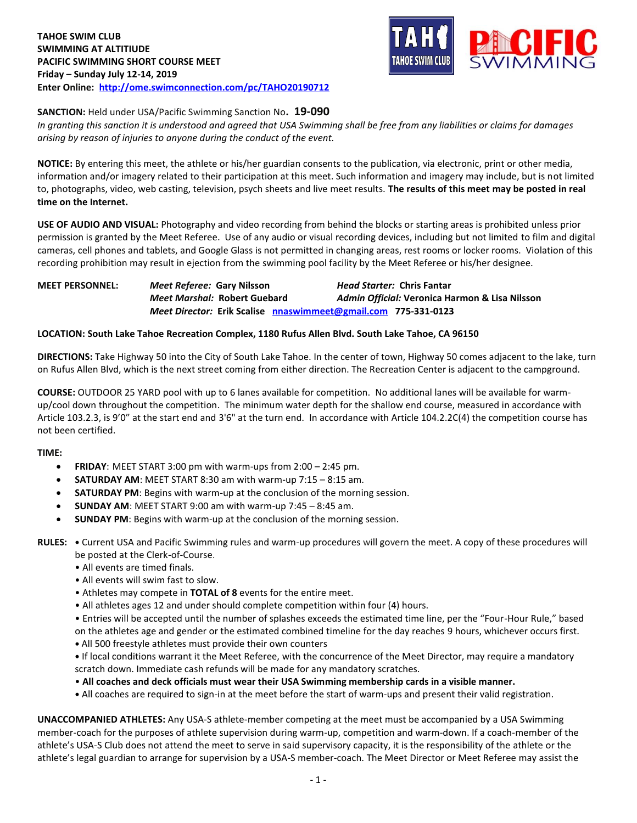

### **SANCTION:** Held under USA/Pacific Swimming Sanction No**. 19-090**

*In granting this sanction it is understood and agreed that USA Swimming shall be free from any liabilities or claims for damages arising by reason of injuries to anyone during the conduct of the event.* 

**NOTICE:** By entering this meet, the athlete or his/her guardian consents to the publication, via electronic, print or other media, information and/or imagery related to their participation at this meet. Such information and imagery may include, but is not limited to, photographs, video, web casting, television, psych sheets and live meet results. **The results of this meet may be posted in real time on the Internet.**

**USE OF AUDIO AND VISUAL:** Photography and video recording from behind the blocks or starting areas is prohibited unless prior permission is granted by the Meet Referee. Use of any audio or visual recording devices, including but not limited to film and digital cameras, cell phones and tablets, and Google Glass is not permitted in changing areas, rest rooms or locker rooms. Violation of this recording prohibition may result in ejection from the swimming pool facility by the Meet Referee or his/her designee.

**MEET PERSONNEL:** *Meet Referee:* **Gary Nilsson** *Head Starter:* **Chris Fantar** *Meet Marshal:* **Robert Guebard** *Admin Official:* **Veronica Harmon & Lisa Nilsson** *Meet Director:* **Erik Scalise [nnaswimmeet@gmail.com](mailto:nnaswimmeet@gmail.com) 775-331-0123**

### **LOCATION: South Lake Tahoe Recreation Complex, 1180 Rufus Allen Blvd. South Lake Tahoe, CA 96150**

**DIRECTIONS:** Take Highway 50 into the City of South Lake Tahoe. In the center of town, Highway 50 comes adjacent to the lake, turn on Rufus Allen Blvd, which is the next street coming from either direction. The Recreation Center is adjacent to the campground.

**COURSE:** OUTDOOR 25 YARD pool with up to 6 lanes available for competition. No additional lanes will be available for warmup/cool down throughout the competition. The minimum water depth for the shallow end course, measured in accordance with Article 103.2.3, is 9'0" at the start end and 3'6" at the turn end. In accordance with Article 104.2.2C(4) the competition course has not been certified.

#### **TIME:**

- **FRIDAY**: MEET START 3:00 pm with warm-ups from 2:00 2:45 pm.
- **SATURDAY AM**: MEET START 8:30 am with warm-up 7:15 8:15 am.
- **SATURDAY PM**: Begins with warm-up at the conclusion of the morning session.
- **SUNDAY AM**: MEET START 9:00 am with warm-up 7:45 8:45 am.
- **SUNDAY PM**: Begins with warm-up at the conclusion of the morning session.

**RULES: •** Current USA and Pacific Swimming rules and warm-up procedures will govern the meet. A copy of these procedures will be posted at the Clerk-of-Course.

- All events are timed finals.
- All events will swim fast to slow.
- Athletes may compete in **TOTAL of 8** events for the entire meet.
- All athletes ages 12 and under should complete competition within four (4) hours.
- Entries will be accepted until the number of splashes exceeds the estimated time line, per the "Four-Hour Rule," based
- on the athletes age and gender or the estimated combined timeline for the day reaches 9 hours, whichever occurs first.
- **•** All 500 freestyle athletes must provide their own counters
- **•** If local conditions warrant it the Meet Referee, with the concurrence of the Meet Director, may require a mandatory scratch down. Immediate cash refunds will be made for any mandatory scratches.
- **All coaches and deck officials must wear their USA Swimming membership cards in a visible manner.**
- **•** All coaches are required to sign-in at the meet before the start of warm-ups and present their valid registration.

**UNACCOMPANIED ATHLETES:** Any USA-S athlete-member competing at the meet must be accompanied by a USA Swimming member-coach for the purposes of athlete supervision during warm-up, competition and warm-down. If a coach-member of the athlete's USA-S Club does not attend the meet to serve in said supervisory capacity, it is the responsibility of the athlete or the athlete's legal guardian to arrange for supervision by a USA-S member-coach. The Meet Director or Meet Referee may assist the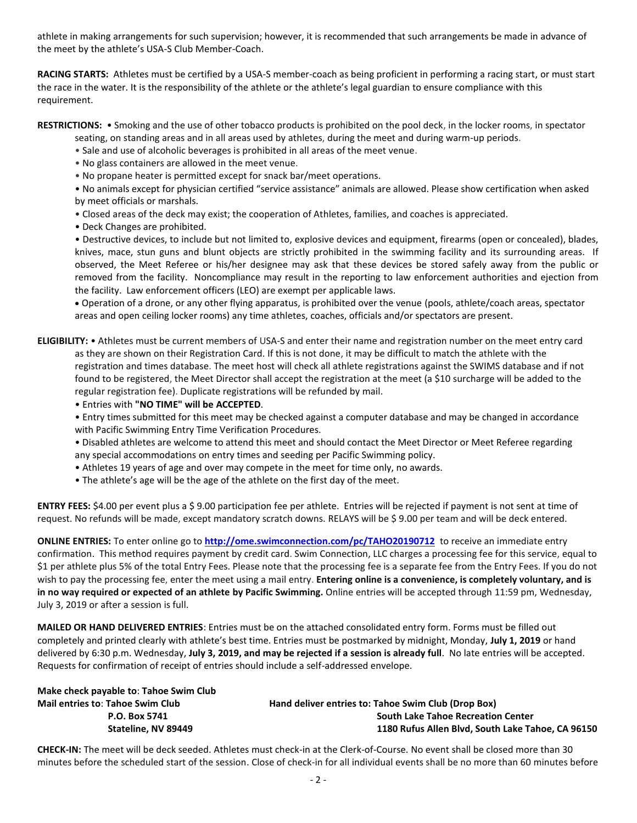athlete in making arrangements for such supervision; however, it is recommended that such arrangements be made in advance of the meet by the athlete's USA-S Club Member-Coach.

**RACING STARTS:** Athletes must be certified by a USA-S member-coach as being proficient in performing a racing start, or must start the race in the water. It is the responsibility of the athlete or the athlete's legal guardian to ensure compliance with this requirement.

- **RESTRICTIONS:** Smoking and the use of other tobacco products is prohibited on the pool deck, in the locker rooms, in spectator seating, on standing areas and in all areas used by athletes, during the meet and during warm-up periods.
	- Sale and use of alcoholic beverages is prohibited in all areas of the meet venue.
	- No glass containers are allowed in the meet venue.
	- No propane heater is permitted except for snack bar/meet operations.

• No animals except for physician certified "service assistance" animals are allowed. Please show certification when asked by meet officials or marshals.

- Closed areas of the deck may exist; the cooperation of Athletes, families, and coaches is appreciated.
- Deck Changes are prohibited.

• Destructive devices, to include but not limited to, explosive devices and equipment, firearms (open or concealed), blades, knives, mace, stun guns and blunt objects are strictly prohibited in the swimming facility and its surrounding areas. If observed, the Meet Referee or his/her designee may ask that these devices be stored safely away from the public or removed from the facility. Noncompliance may result in the reporting to law enforcement authorities and ejection from the facility. Law enforcement officers (LEO) are exempt per applicable laws.

 Operation of a drone, or any other flying apparatus, is prohibited over the venue (pools, athlete/coach areas, spectator areas and open ceiling locker rooms) any time athletes, coaches, officials and/or spectators are present.

**ELIGIBILITY:** • Athletes must be current members of USA-S and enter their name and registration number on the meet entry card as they are shown on their Registration Card. If this is not done, it may be difficult to match the athlete with the registration and times database. The meet host will check all athlete registrations against the SWIMS database and if not found to be registered, the Meet Director shall accept the registration at the meet (a \$10 surcharge will be added to the regular registration fee). Duplicate registrations will be refunded by mail.

- Entries with **"NO TIME" will be ACCEPTED**.
- Entry times submitted for this meet may be checked against a computer database and may be changed in accordance with Pacific Swimming Entry Time Verification Procedures.

• Disabled athletes are welcome to attend this meet and should contact the Meet Director or Meet Referee regarding any special accommodations on entry times and seeding per Pacific Swimming policy.

- Athletes 19 years of age and over may compete in the meet for time only, no awards.
- The athlete's age will be the age of the athlete on the first day of the meet.

**ENTRY FEES:** \$4.00 per event plus a \$ 9.00 participation fee per athlete. Entries will be rejected if payment is not sent at time of request. No refunds will be made, except mandatory scratch downs. RELAYS will be \$ 9.00 per team and will be deck entered.

**ONLINE ENTRIES:** To enter online go to **<http://ome.swimconnection.com/pc/TAHO20190712>** to receive an immediate entry confirmation. This method requires payment by credit card. Swim Connection, LLC charges a processing fee for this service, equal to \$1 per athlete plus 5% of the total Entry Fees. Please note that the processing fee is a separate fee from the Entry Fees. If you do not wish to pay the processing fee, enter the meet using a mail entry. **Entering online is a convenience, is completely voluntary, and is in no way required or expected of an athlete by Pacific Swimming.** Online entries will be accepted through 11:59 pm, Wednesday, July 3, 2019 or after a session is full.

**MAILED OR HAND DELIVERED ENTRIES**: Entries must be on the attached consolidated entry form. Forms must be filled out completely and printed clearly with athlete's best time. Entries must be postmarked by midnight, Monday, **July 1, 2019** or hand delivered by 6:30 p.m. Wednesday, **July 3, 2019, and may be rejected if a session is already full**. No late entries will be accepted. Requests for confirmation of receipt of entries should include a self-addressed envelope.

| Make check payable to: Tahoe Swim Club  |                                                     |
|-----------------------------------------|-----------------------------------------------------|
| <b>Mail entries to: Tahoe Swim Club</b> | Hand deliver entries to: Tahoe Swim Club (Drop Box) |
| P.O. Box 5741                           | <b>South Lake Tahoe Recreation Center</b>           |
| Stateline, NV 89449                     | 1180 Rufus Allen Blvd, South Lake Tahoe, CA 96150   |
|                                         |                                                     |

**CHECK-IN:** The meet will be deck seeded. Athletes must check-in at the Clerk-of-Course. No event shall be closed more than 30 minutes before the scheduled start of the session. Close of check-in for all individual events shall be no more than 60 minutes before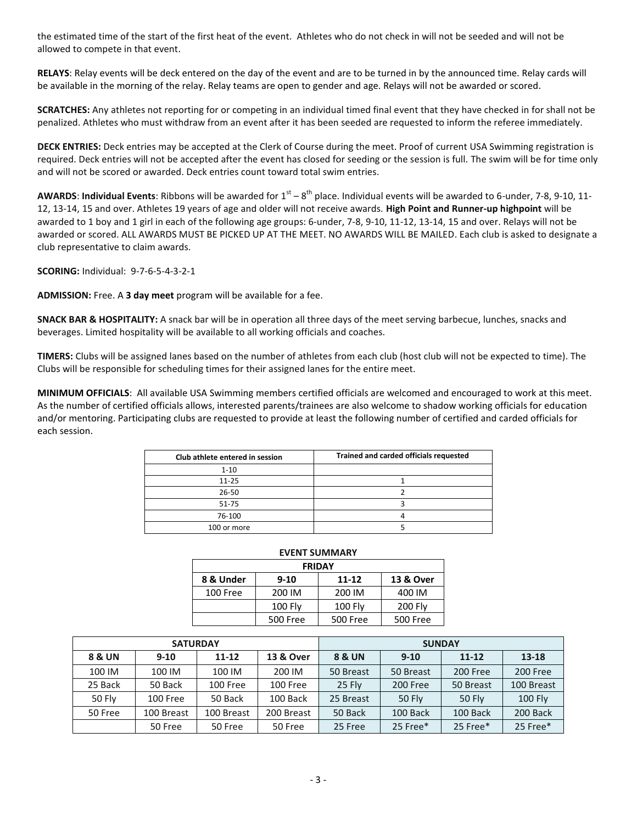the estimated time of the start of the first heat of the event. Athletes who do not check in will not be seeded and will not be allowed to compete in that event.

**RELAYS**: Relay events will be deck entered on the day of the event and are to be turned in by the announced time. Relay cards will be available in the morning of the relay. Relay teams are open to gender and age. Relays will not be awarded or scored.

**SCRATCHES:** Any athletes not reporting for or competing in an individual timed final event that they have checked in for shall not be penalized. Athletes who must withdraw from an event after it has been seeded are requested to inform the referee immediately.

**DECK ENTRIES:** Deck entries may be accepted at the Clerk of Course during the meet. Proof of current USA Swimming registration is required. Deck entries will not be accepted after the event has closed for seeding or the session is full. The swim will be for time only and will not be scored or awarded. Deck entries count toward total swim entries.

**AWARDS: Individual Events:** Ribbons will be awarded for  $1^{st} - 8^{th}$  place. Individual events will be awarded to 6-under, 7-8, 9-10, 11-12, 13-14, 15 and over. Athletes 19 years of age and older will not receive awards. **High Point and Runner-up highpoint** will be awarded to 1 boy and 1 girl in each of the following age groups: 6-under, 7-8, 9-10, 11-12, 13-14, 15 and over. Relays will not be awarded or scored. ALL AWARDS MUST BE PICKED UP AT THE MEET. NO AWARDS WILL BE MAILED. Each club is asked to designate a club representative to claim awards.

**SCORING:** Individual: 9-7-6-5-4-3-2-1

**ADMISSION:** Free. A **3 day meet** program will be available for a fee.

**SNACK BAR & HOSPITALITY:** A snack bar will be in operation all three days of the meet serving barbecue, lunches, snacks and beverages. Limited hospitality will be available to all working officials and coaches.

**TIMERS:** Clubs will be assigned lanes based on the number of athletes from each club (host club will not be expected to time). The Clubs will be responsible for scheduling times for their assigned lanes for the entire meet.

**MINIMUM OFFICIALS**: All available USA Swimming members certified officials are welcomed and encouraged to work at this meet. As the number of certified officials allows, interested parents/trainees are also welcome to shadow working officials for education and/or mentoring. Participating clubs are requested to provide at least the following number of certified and carded officials for each session.

| Club athlete entered in session | Trained and carded officials requested |
|---------------------------------|----------------------------------------|
| $1 - 10$                        |                                        |
| $11 - 25$                       |                                        |
| 26-50                           |                                        |
| 51-75                           |                                        |
| 76-100                          |                                        |
| 100 or more                     |                                        |

| <b>EVENT SUMMARY</b>                            |                 |                 |                |  |  |  |  |  |
|-------------------------------------------------|-----------------|-----------------|----------------|--|--|--|--|--|
| <b>FRIDAY</b>                                   |                 |                 |                |  |  |  |  |  |
| 8 & Under<br>13 & Over<br>$11 - 12$<br>$9 - 10$ |                 |                 |                |  |  |  |  |  |
| 100 Free                                        | 200 IM          | 200 IM          | 400 IM         |  |  |  |  |  |
|                                                 | <b>100 Fly</b>  | $100$ Fly       | <b>200 Fly</b> |  |  |  |  |  |
|                                                 | <b>500 Free</b> | <b>500 Free</b> | 500 Free       |  |  |  |  |  |

|         | <b>SATURDAY</b> |            |                      | <b>SUNDAY</b>     |               |               |                |  |
|---------|-----------------|------------|----------------------|-------------------|---------------|---------------|----------------|--|
| 8 & UN  | $9 - 10$        | $11 - 12$  | <b>13 &amp; Over</b> | <b>8 &amp; UN</b> | $9 - 10$      | $11 - 12$     | 13-18          |  |
| 100 IM  | 100 IM          | 100 IM     | 200 IM               | 50 Breast         | 50 Breast     | 200 Free      | 200 Free       |  |
| 25 Back | 50 Back         | 100 Free   | 100 Free             | 25 Fly            | 200 Free      | 50 Breast     | 100 Breast     |  |
| 50 Fly  | 100 Free        | 50 Back    | 100 Back             | 25 Breast         | <b>50 Fly</b> | <b>50 Fly</b> | <b>100 Fly</b> |  |
| 50 Free | 100 Breast      | 100 Breast | 200 Breast           | 50 Back           | 100 Back      | 100 Back      | 200 Back       |  |
|         | 50 Free         | 50 Free    | 50 Free              | 25 Free           | 25 Free*      | 25 Free*      | 25 Free*       |  |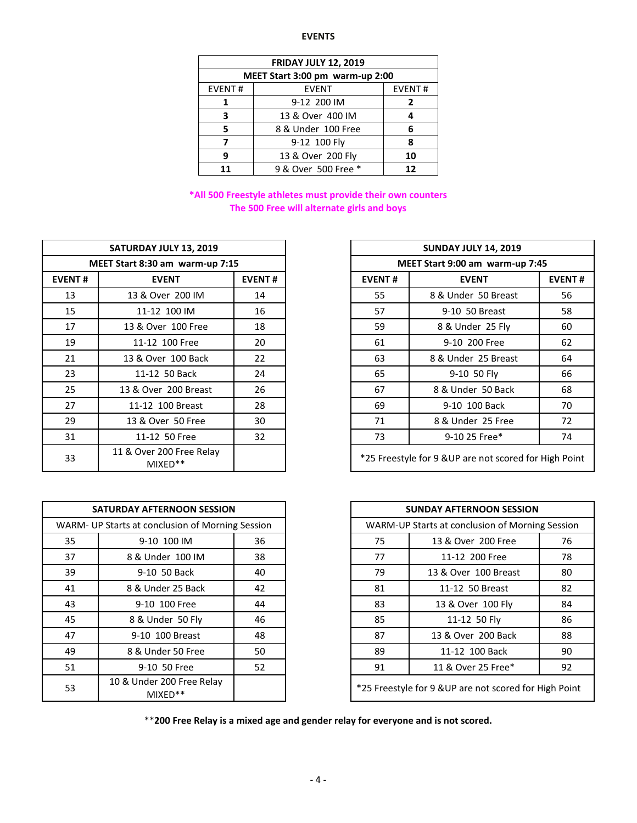# **EVENTS**

| <b>FRIDAY JULY 12, 2019</b>     |                     |               |  |  |  |  |
|---------------------------------|---------------------|---------------|--|--|--|--|
| MEET Start 3:00 pm warm-up 2:00 |                     |               |  |  |  |  |
| <b>EVENT#</b>                   | <b>EVENT</b>        | <b>EVENT#</b> |  |  |  |  |
| 1                               | 9-12 200 IM         | 2             |  |  |  |  |
| 3                               |                     |               |  |  |  |  |
| 5                               | 6                   |               |  |  |  |  |
| 7                               | 9-12 100 Fly        | 8             |  |  |  |  |
| q                               | 13 & Over 200 Fly   | 10            |  |  |  |  |
| 11                              | 9 & Over 500 Free * | 12            |  |  |  |  |

# **\*All 500 Freestyle athletes must provide their own counters The 500 Free will alternate girls and boys**

|                                 | SATURDAY JULY 13, 2019              |               |               | <b>SUNDAY JULY 14, 2019</b>             |
|---------------------------------|-------------------------------------|---------------|---------------|-----------------------------------------|
| MEET Start 8:30 am warm-up 7:15 |                                     |               |               | MEET Start 9:00 am warm-u               |
| <b>EVENT#</b>                   | <b>EVENT</b>                        | <b>EVENT#</b> | <b>EVENT#</b> | <b>EVENT</b>                            |
| 13                              | 13 & Over 200 IM                    | 14            | 55            | 8 & Under 50 Breast                     |
| 15                              | 11-12 100 IM                        | 16            | 57            | 9-10 50 Breast                          |
| 17                              | 13 & Over 100 Free                  | 18            | 59            | 8 & Under 25 Fly                        |
| 19                              | 11-12 100 Free                      | 20            | 61            | 9-10 200 Free                           |
| 21                              | 13 & Over 100 Back                  | 22            | 63            | 8 & Under 25 Breast                     |
| 23                              | 11-12 50 Back                       | 24            | 65            | 9-10 50 Fly                             |
| 25                              | 13 & Over 200 Breast                | 26            | 67            | 8 & Under 50 Back                       |
| 27                              | 11-12 100 Breast                    | 28            | 69            | 9-10 100 Back                           |
| 29                              | 13 & Over 50 Free                   | 30            | 71            | 8 & Under 25 Free                       |
| 31                              | 11-12 50 Free                       | 32            | 73            | 9-10 25 Free*                           |
| 33                              | 11 & Over 200 Free Relay<br>MIXED** |               |               | *25 Freestyle for 9 & UP are not scored |

|    | <b>SATURDAY AFTERNOON SESSION</b>                |    |    | <b>SUNDAY AFTERNOON SESSION</b>             |
|----|--------------------------------------------------|----|----|---------------------------------------------|
|    | WARM- UP Starts at conclusion of Morning Session |    |    | WARM-UP Starts at conclusion of Mornin      |
| 35 | 9-10 100 IM                                      | 36 | 75 | 13 & Over 200 Free                          |
| 37 | 8 & Under 100 IM                                 | 38 | 77 | 11-12 200 Free                              |
| 39 | 9-10 50 Back                                     | 40 | 79 | 13 & Over 100 Breast                        |
| 41 | 8 & Under 25 Back                                | 42 | 81 | 11-12 50 Breast                             |
| 43 | 9-10 100 Free                                    | 44 | 83 | 13 & Over 100 Fly                           |
| 45 | 8 & Under 50 Fly                                 | 46 | 85 | 11-12 50 Fly                                |
| 47 | 9-10 100 Breast                                  | 48 | 87 | 13 & Over 200 Back                          |
| 49 | 8 & Under 50 Free                                | 50 | 89 | 11-12 100 Back                              |
| 51 | 9-10 50 Free                                     | 52 | 91 | 11 & Over 25 Free*                          |
| 53 | 10 & Under 200 Free Relay<br>MIXED**             |    |    | *25 Freestyle for 9 & UP are not scored for |

| SATURDAY JULY 13, 2019 |                                       |               |    | <b>SUNDAY JULY 14, 2019</b>                            |    |  |  |
|------------------------|---------------------------------------|---------------|----|--------------------------------------------------------|----|--|--|
|                        | MEET Start 8:30 am warm-up 7:15       |               |    | MEET Start 9:00 am warm-up 7:45                        |    |  |  |
| <b>EVENT#</b>          | <b>EVENT</b>                          | <b>EVENT#</b> |    | <b>EVENT#</b><br><b>EVENT</b>                          |    |  |  |
| 13                     | 13 & Over 200 IM                      | 14            | 55 | 8 & Under 50 Breast                                    | 56 |  |  |
| 15                     | 11-12 100 IM                          | 16            | 57 | 9-10 50 Breast                                         | 58 |  |  |
| 17                     | 13 & Over 100 Free                    | 18            | 59 | 8 & Under 25 Fly                                       | 60 |  |  |
| 19                     | 11-12 100 Free                        | 20            | 61 | 9-10 200 Free                                          | 62 |  |  |
| 21                     | 13 & Over 100 Back                    | 22            | 63 | 8 & Under 25 Breast                                    | 64 |  |  |
| 23                     | 11-12 50 Back                         | 24            | 65 | 9-10 50 Fly                                            | 66 |  |  |
| 25                     | 13 & Over 200 Breast                  | 26            | 67 | 8 & Under 50 Back                                      | 68 |  |  |
| 27                     | 11-12 100 Breast                      | 28            | 69 | 9-10 100 Back                                          | 70 |  |  |
| 29                     | 13 & Over 50 Free                     | 30            | 71 | 8 & Under 25 Free                                      | 72 |  |  |
| 31                     | 11-12 50 Free                         | 32            | 73 | 9-10 25 Free*                                          | 74 |  |  |
| 33                     | 11 & Over 200 Free Relay<br>$MIXED**$ |               |    | *25 Freestyle for 9 & UP are not scored for High Point |    |  |  |

|    | <b>SATURDAY AFTERNOON SESSION</b>                |    |
|----|--------------------------------------------------|----|
|    | WARM- UP Starts at conclusion of Morning Session |    |
| 35 | 9-10 100 IM                                      | 36 |
| 37 | 8 & Under 100 IM                                 | 38 |
| 39 | 9-10 50 Back                                     | 40 |
| 41 | 8 & Under 25 Back                                | 42 |
| 43 | 9-10 100 Free                                    | 44 |
| 45 | 8 & Under 50 Fly                                 | 46 |
| 47 | 9-10 100 Breast                                  | 48 |
| 49 | 8 & Under 50 Free                                | 50 |
| 51 | 9-10 50 Free                                     | 52 |
| 53 | 10 & Under 200 Free Relay<br>$MIXED**$           |    |

\*\***200 Free Relay is a mixed age and gender relay for everyone and is not scored.**